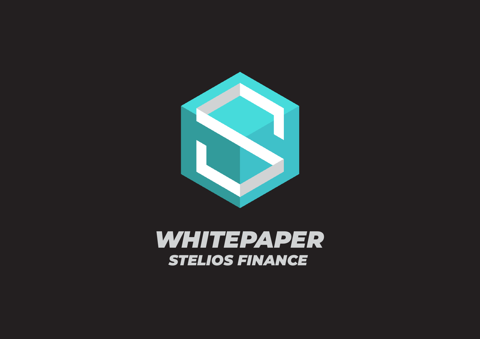

### *WHITEPAPER STELIOS FINANCE*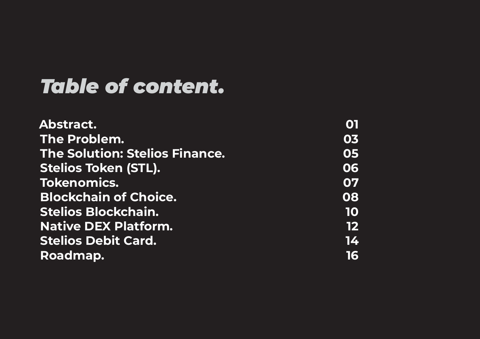### *Table of content .*

| Abstract.                             | 01 |
|---------------------------------------|----|
| The Problem.                          | 03 |
| <b>The Solution: Stelios Finance.</b> | 05 |
| <b>Stelios Token (STL).</b>           | 06 |
| <b>Tokenomics.</b>                    | 07 |
| <b>Blockchain of Choice.</b>          | 08 |
| <b>Stelios Blockchain.</b>            | 10 |
| <b>Native DEX Platform.</b>           | 12 |
| <b>Stelios Debit Card.</b>            | 14 |
| Roadmap.                              | 16 |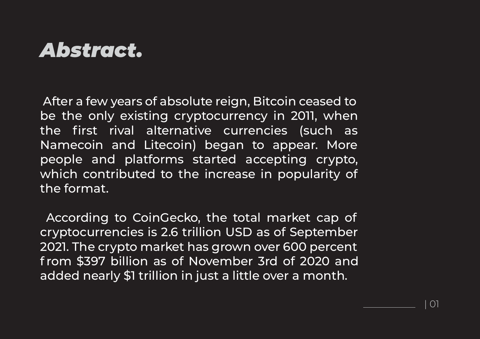### *Abstract.*

After a few years of absolute reign, Bitcoin ceased to be the only existing cryptocurrency in 2011, when the first rival alternative currencies (such as Namecoin and Litecoin) began to appear. More people and platforms started accepting crypto, which contributed to the increase in popularity of the format.

According to CoinGecko, the total market cap of cryptocurrencies is 2.6 trillion USD as of September 2021. The crypto market has grown over 600 percent f rom \$397 billion as of November 3rd of 2020 and added nearly \$1 trillion in just a little over a month.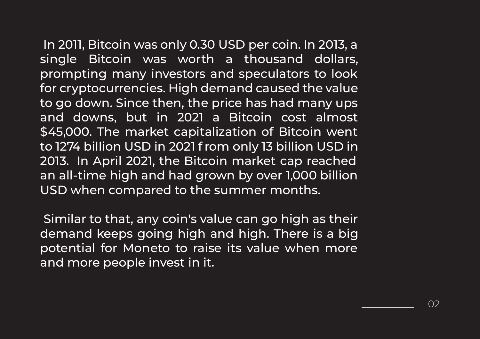In 2011, Bitcoin was only 0.30 USD per coin. In 2013, a single Bitcoin was worth a thousand dollars, prompting many investors and speculators to look for cryptocurrencies. High demand caused the value to go down. Since then, the price has had many ups and downs, but in 2021 a Bitcoin cost almost \$45,000. The market capitalization of Bitcoin went to 1274 billion USD in 2021 f rom only 13 billion USD in 2013. In April 2021, the Bitcoin market cap reached an all-time high and had grown by over 1,000 billion USD when compared to the summer months.

Similar to that, any coin's value can go high as their demand keeps going high and high. There is a big potential for Moneto to raise its value when more and more people invest in it.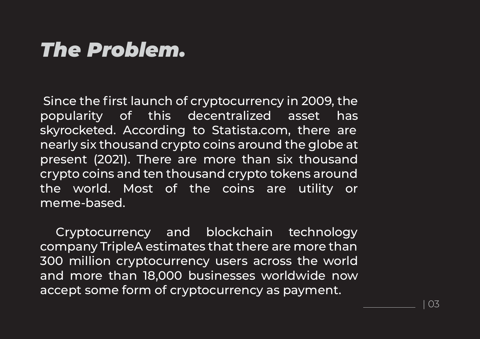### *The Problem.*

Since the first launch of cryptocurrency in 2009, the popularity of this decentralized asset has skyrocketed. According to Statista.com, there are nearly six thousand crypto coins around the globe at present (2021). There are more than six thousand crypto coins and ten thousand crypto tokens around the world. Most of the coins are utility or meme-based.

Cryptocurrency and blockchain technology company TripleA estimates that there are more than 300 million cryptocurrency users across the world and more than 18,000 businesses worldwide now accept some form of cryptocurrency as payment.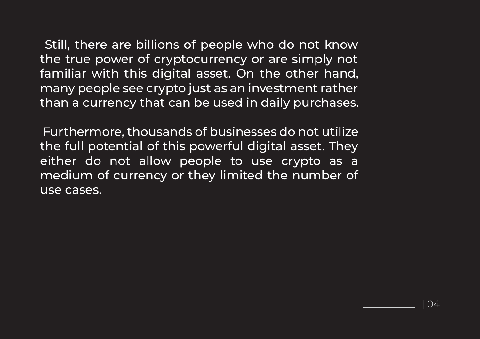Still, there are billions of people who do not know the true power of cryptocurrency or are simply not familiar with this digital asset. On the other hand, many people see crypto just as an investment rather than a currency that can be used in daily purchases.

Furthermore, thousands of businesses do not utilize the full potential of this powerful digital asset. They either do not allow people to use crypto as a medium of currency or they limited the number of use cases.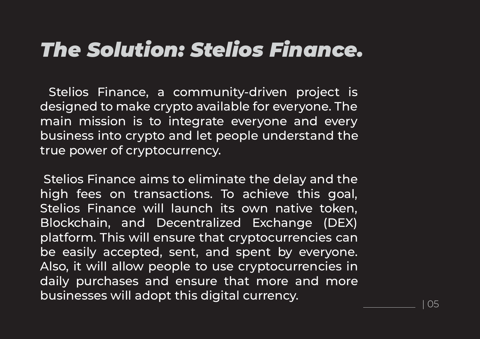# *The Solution: Stelios Finance.*

Stelios Finance, a community-driven project is designed to make crypto available for everyone. The main mission is to integrate everyone and every business into crypto and let people understand the true power of cryptocurrency.

Stelios Finance aims to eliminate the delay and the high fees on transactions. To achieve this goal, Stelios Finance will launch its own native token, Blockchain, and Decentralized Exchange (DEX) platform. This will ensure that cryptocurrencies can be easily accepted, sent, and spent by everyone. Also, it will allow people to use cryptocurrencies in daily purchases and ensure that more and more businesses will adopt this digital currency.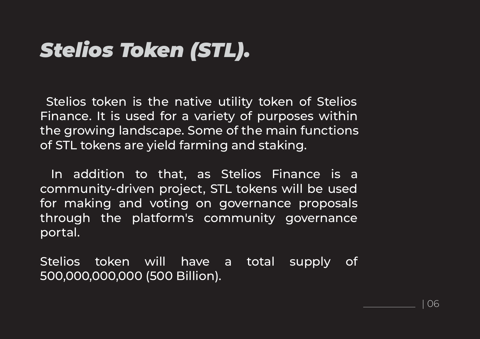# *Stelios Token (STL).*

Stelios token is the native utility token of Stelios Finance. It is used for a variety of purposes within the growing landscape. Some of the main functions of STL tokens are yield farming and staking.

In addition to that, as Stelios Finance is a community-driven project, STL tokens will be used for making and voting on governance proposals through the platform's community governance portal.

Stelios token will have a total supply of 500,000,000,000 (500 Billion).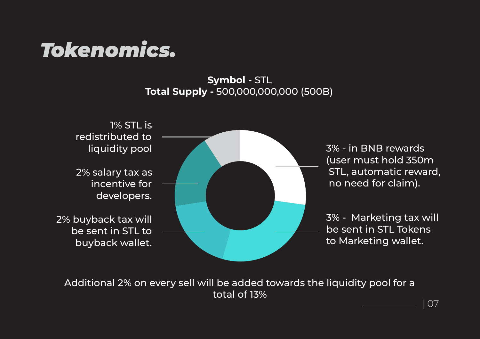## *Tokenomics.*

#### **Symbol -** STL **Total Supply -** 500,000,000,000 (500B)



3% - in BNB rewards (user must hold 350m STL, automatic reward, no need for claim).

3% - Marketing tax will be sent in STL Tokens to Marketing wallet.

Additional 2% on every sell will be added towards the liquidity pool for a total of 13%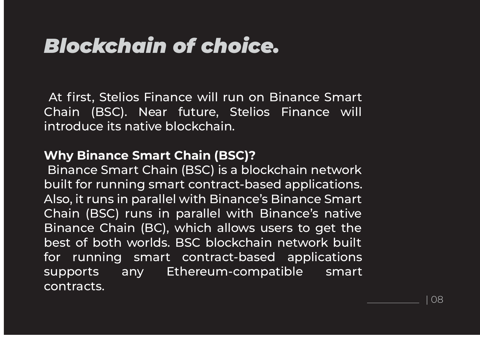## *Blockchain of choice.*

At first, Stelios Finance will run on Binance Smart Chain (BSC). Near future, Stelios Finance will introduce its native blockchain.

#### **Why Binance Smart Chain (BSC)?**

 Binance Smart Chain (BSC) is a blockchain network built for running smart contract-based applications. Also, it runs in parallel with Binance's Binance Smart Chain (BSC) runs in parallel with Binance's native Binance Chain (BC), which allows users to get the best of both worlds. BSC blockchain network built for running smart contract-based applications supports any Ethereum-compatible smart contracts.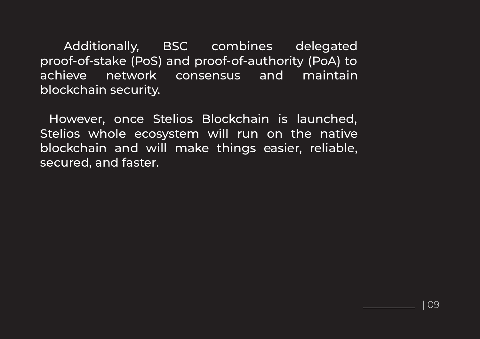Additionally, BSC combines delegated proof-of-stake (PoS) and proof-of-authority (PoA) to achieve network consensus and maintain blockchain security.

However, once Stelios Blockchain is launched, Stelios whole ecosystem will run on the native blockchain and will make things easier, reliable, secured, and faster.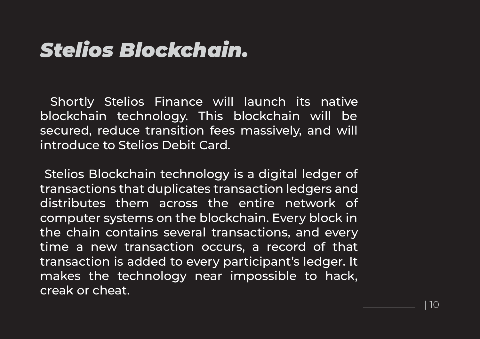# *Stelios Blockchain.*

Shortly Stelios Finance will launch its native blockchain technology. This blockchain will be secured, reduce transition fees massively, and will introduce to Stelios Debit Card.

Stelios Blockchain technology is a digital ledger of transactions that duplicates transaction ledgers and distributes them across the entire network of computer systems on the blockchain. Every block in the chain contains several transactions, and every time a new transaction occurs, a record of that transaction is added to every participant's ledger. It makes the technology near impossible to hack, creak or cheat.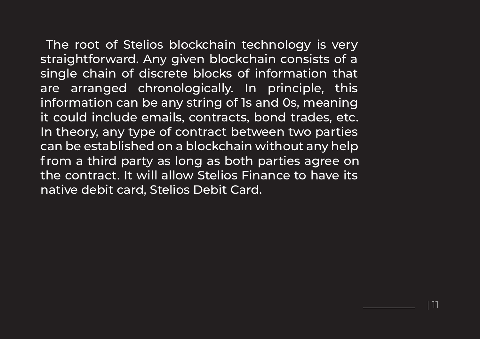The root of Stelios blockchain technology is very straightforward. Any given blockchain consists of a single chain of discrete blocks of information that are arranged chronologically. In principle, this information can be any string of 1s and 0s, meaning it could include emails, contracts, bond trades, etc. In theory, any type of contract between two parties can be established on a blockchain without any help f rom a third party as long as both parties agree on the contract. It will allow Stelios Finance to have its native debit card, Stelios Debit Card.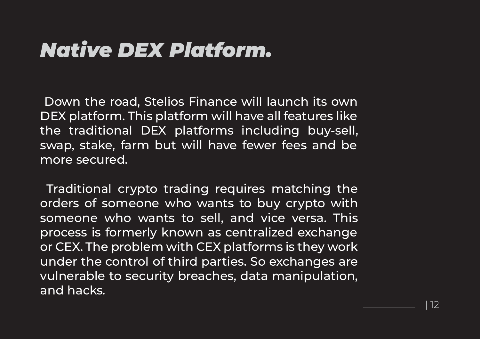# *Native DEX Platform.*

Down the road, Stelios Finance will launch its own DEX platform. This platform will have all features like the traditional DEX platforms including buy-sell, swap, stake, farm but will have fewer fees and be more secured.

Traditional crypto trading requires matching the orders of someone who wants to buy crypto with someone who wants to sell, and vice versa. This process is formerly known as centralized exchange or CEX. The problem with CEX platforms is they work under the control of third parties. So exchanges are vulnerable to security breaches, data manipulation, and hacks.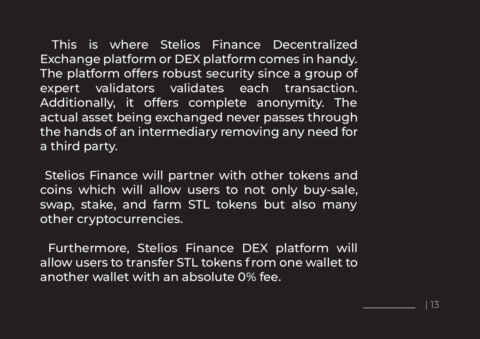This is where Stelios Finance Decentralized Exchange platform or DEX platform comes in handy. The platform offers robust security since a group of expert validators validates each transaction. Additionally, it offers complete anonymity. The actual asset being exchanged never passes through the hands of an intermediary removing any need for a third party.

Stelios Finance will partner with other tokens and coins which will allow users to not only buy-sale, swap, stake, and farm STL tokens but also many other cryptocurrencies.

Furthermore, Stelios Finance DEX platform will allow users to transfer STL tokens f rom one wallet to another wallet with an absolute 0% fee.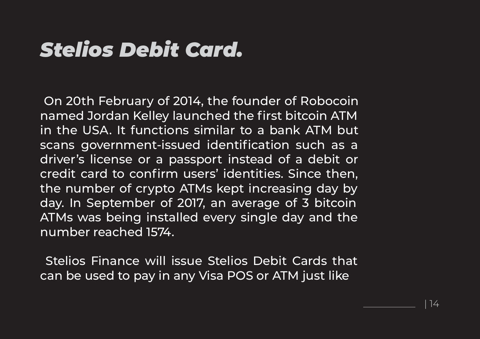# *Stelios Debit Card.*

On 20th February of 2014, the founder of Robocoin named Jordan Kelley launched the first bitcoin ATM in the USA. It functions similar to a bank ATM but scans government-issued identification such as a driver's license or a passport instead of a debit or credit card to confirm users' identities. Since then, the number of crypto ATMs kept increasing day by day. In September of 2017, an average of 3 bitcoin ATMs was being installed every single day and the number reached 1574.

Stelios Finance will issue Stelios Debit Cards that can be used to pay in any Visa POS or ATM just like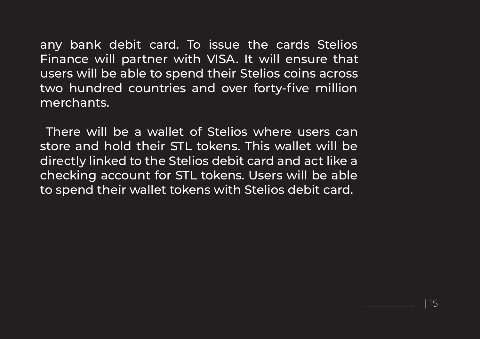any bank debit card. To issue the cards Stelios Finance will partner with VISA. It will ensure that users will be able to spend their Stelios coins across two hundred countries and over forty-five million merchants.

There will be a wallet of Stelios where users can store and hold their STL tokens. This wallet will be directly linked to the Stelios debit card and act like a checking account for STL tokens. Users will be able to spend their wallet tokens with Stelios debit card.